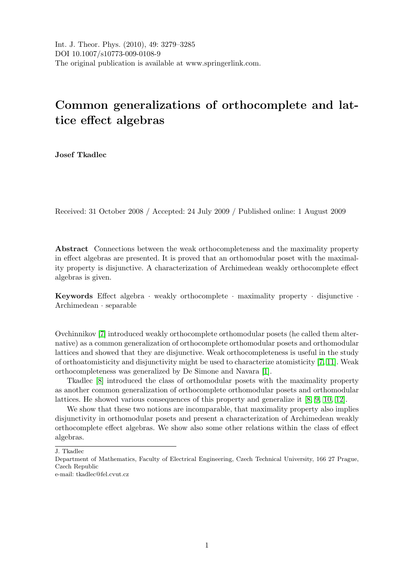# Common generalizations of orthocomplete and lattice effect algebras

Josef Tkadlec

Received: 31 October 2008 / Accepted: 24 July 2009 / Published online: 1 August 2009

Abstract Connections between the weak orthocompleteness and the maximality property in effect algebras are presented. It is proved that an orthomodular poset with the maximality property is disjunctive. A characterization of Archimedean weakly orthocomplete effect algebras is given.

Keywords Effect algebra · weakly orthocomplete · maximality property · disjunctive · Archimedean · separable

Ovchinnikov [\[7\]](#page-6-0) introduced weakly orthocomplete orthomodular posets (he called them alternative) as a common generalization of orthocomplete orthomodular posets and orthomodular lattices and showed that they are disjunctive. Weak orthocompleteness is useful in the study of orthoatomisticity and disjunctivity might be used to characterize atomisticity [\[7,](#page-6-0) [11\]](#page-7-0). Weak orthocompleteness was generalized by De Simone and Navara [\[1\]](#page-6-1).

Tkadlec [\[8\]](#page-6-2) introduced the class of orthomodular posets with the maximality property as another common generalization of orthocomplete orthomodular posets and orthomodular lattices. He showed various consequences of this property and generalize it [\[8,](#page-6-2) [9,](#page-7-1) [10,](#page-7-2) [12\]](#page-7-3).

We show that these two notions are incomparable, that maximality property also implies disjunctivity in orthomodular posets and present a characterization of Archimedean weakly orthocomplete effect algebras. We show also some other relations within the class of effect algebras.

J. Tkadlec

Department of Mathematics, Faculty of Electrical Engineering, Czech Technical University, 166 27 Prague, Czech Republic

e-mail: tkadlec@fel.cvut.cz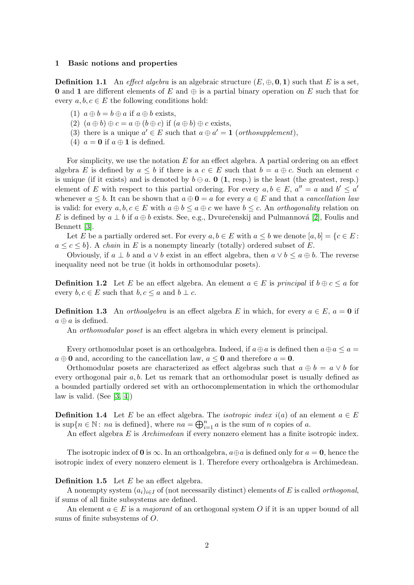#### 1 Basic notions and properties

**Definition 1.1** An effect algebra is an algebraic structure  $(E, \oplus, 0, 1)$  such that E is a set, 0 and 1 are different elements of E and  $\oplus$  is a partial binary operation on E such that for every  $a, b, c \in E$  the following conditions hold:

- (1)  $a \oplus b = b \oplus a$  if  $a \oplus b$  exists,
- (2)  $(a \oplus b) \oplus c = a \oplus (b \oplus c)$  if  $(a \oplus b) \oplus c$  exists,
- (3) there is a unique  $a' \in E$  such that  $a \oplus a' = 1$  (orthosupplement),
- (4)  $a = 0$  if  $a \oplus 1$  is defined.

For simplicity, we use the notation  $E$  for an effect algebra. A partial ordering on an effect algebra E is defined by  $a \leq b$  if there is a  $c \in E$  such that  $b = a \oplus c$ . Such an element c is unique (if it exists) and is denoted by  $b \ominus a$ . **0** (1, resp.) is the least (the greatest, resp.) element of E with respect to this partial ordering. For every  $a, b \in E$ ,  $a'' = a$  and  $b' \le a'$ whenever  $a \leq b$ . It can be shown that  $a \oplus \mathbf{0} = a$  for every  $a \in E$  and that a *cancellation law* is valid: for every  $a, b, c \in E$  with  $a \oplus b \le a \oplus c$  we have  $b \le c$ . An *orthogonality* relation on E is defined by  $a \perp b$  if  $a \oplus b$  exists. See, e.g., Dvurečenskij and Pulmannová [\[2\]](#page-6-3), Foulis and Bennett [\[3\]](#page-6-4).

Let E be a partially ordered set. For every  $a, b \in E$  with  $a \leq b$  we denote  $[a, b] = \{c \in E :$  $a \leq c \leq b$ . A *chain* in E is a nonempty linearly (totally) ordered subset of E.

Obviously, if  $a \perp b$  and  $a \vee b$  exist in an effect algebra, then  $a \vee b \leq a \oplus b$ . The reverse inequality need not be true (it holds in orthomodular posets).

**Definition 1.2** Let E be an effect algebra. An element  $a \in E$  is principal if  $b \oplus c \le a$  for every  $b, c \in E$  such that  $b, c \le a$  and  $b \perp c$ .

**Definition 1.3** An orthoalgebra is an effect algebra E in which, for every  $a \in E$ ,  $a = 0$  if  $a \oplus a$  is defined.

An *orthomodular poset* is an effect algebra in which every element is principal.

Every orthomodular poset is an orthoalgebra. Indeed, if  $a \oplus a$  is defined then  $a \oplus a \le a$  $a \oplus \mathbf{0}$  and, according to the cancellation law,  $a \leq \mathbf{0}$  and therefore  $a = \mathbf{0}$ .

Orthomodular posets are characterized as effect algebras such that  $a \oplus b = a \vee b$  for every orthogonal pair  $a, b$ . Let us remark that an orthomodular poset is usually defined as a bounded partially ordered set with an orthocomplementation in which the orthomodular law is valid. (See  $[3, 4]$  $[3, 4]$ )

**Definition 1.4** Let E be an effect algebra. The *isotropic index*  $i(a)$  of an element  $a \in E$ is sup $\{n \in \mathbb{N} : na \text{ is defined}\},\$  where  $na = \bigoplus_{i=1}^{n} a$  is the sum of n copies of a.

An effect algebra E is *Archimedean* if every nonzero element has a finite isotropic index.

The isotropic index of 0 is  $\infty$ . In an orthoalgebra,  $a \oplus a$  is defined only for  $a = 0$ , hence the isotropic index of every nonzero element is 1. Therefore every orthoalgebra is Archimedean.

## **Definition 1.5** Let  $E$  be an effect algebra.

A nonempty system  $(a_i)_{i\in I}$  of (not necessarily distinct) elements of E is called *orthogonal*, if sums of all finite subsystems are defined.

An element  $a \in E$  is a *majorant* of an orthogonal system O if it is an upper bound of all sums of finite subsystems of O.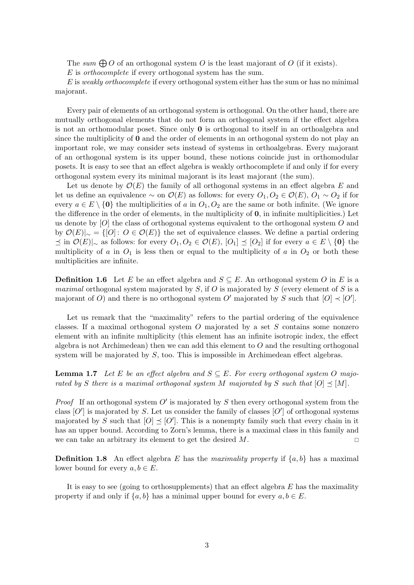The sum  $\bigoplus O$  of an orthogonal system O is the least majorant of O (if it exists).

E is orthocomplete if every orthogonal system has the sum.

 $E$  is weakly orthocomplete if every orthogonal system either has the sum or has no minimal majorant.

Every pair of elements of an orthogonal system is orthogonal. On the other hand, there are mutually orthogonal elements that do not form an orthogonal system if the effect algebra is not an orthomodular poset. Since only  $\bf{0}$  is orthogonal to itself in an orthoalgebra and since the multiplicity of **0** and the order of elements in an orthogonal system do not play an important role, we may consider sets instead of systems in orthoalgebras. Every majorant of an orthogonal system is its upper bound, these notions coincide just in orthomodular posets. It is easy to see that an effect algebra is weakly orthocomplete if and only if for every orthogonal system every its minimal majorant is its least majorant (the sum).

Let us denote by  $\mathcal{O}(E)$  the family of all orthogonal systems in an effect algebra E and let us define an equivalence  $\sim$  on  $\mathcal{O}(E)$  as follows: for every  $O_1, O_2 \in \mathcal{O}(E)$ ,  $O_1 \sim O_2$  if for every  $a \in E \setminus \{0\}$  the multiplicities of a in  $O_1, O_2$  are the same or both infinite. (We ignore the difference in the order of elements, in the multiplicity of 0, in infinite multiplicities.) Let us denote by  $[O]$  the class of orthogonal systems equivalent to the orthogonal system O and by  $\mathcal{O}(E)|_{\sim} = \{[O]: O \in \mathcal{O}(E)\}\$  the set of equivalence classes. We define a partial ordering  $\leq$  in  $\mathcal{O}(E)|_{\sim}$  as follows: for every  $O_1, O_2 \in \mathcal{O}(E)$ ,  $[O_1]$   $\leq$   $[O_2]$  if for every  $a \in E \setminus \{0\}$  the multiplicity of a in  $O_1$  is less then or equal to the multiplicity of a in  $O_2$  or both these multiplicities are infinite.

**Definition 1.6** Let E be an effect algebra and  $S \subseteq E$ . An orthogonal system O in E is a *maximal* orthogonal system majorated by  $S$ , if  $O$  is majorated by  $S$  (every element of  $S$  is a majorant of O) and there is no orthogonal system O' majorated by S such that  $[O] \prec [O']$ .

Let us remark that the "maximality" refers to the partial ordering of the equivalence classes. If a maximal orthogonal system  $O$  majorated by a set  $S$  contains some nonzero element with an infinite multiplicity (this element has an infinite isotropic index, the effect algebra is not Archimedean) then we can add this element to  $O$  and the resulting orthogonal system will be majorated by  $S$ , too. This is impossible in Archimedean effect algebras.

<span id="page-2-0"></span>**Lemma 1.7** Let E be an effect algebra and  $S \subseteq E$ . For every orthogonal system O majorated by S there is a maximal orthogonal system M majorated by S such that  $[O] \preceq [M]$ .

*Proof* If an orthogonal system  $O'$  is majorated by S then every orthogonal system from the class  $[O']$  is majorated by S. Let us consider the family of classes  $[O']$  of orthogonal systems majorated by S such that  $[O] \preceq [O']$ . This is a nonempty family such that every chain in it has an upper bound. According to Zorn's lemma, there is a maximal class in this family and we can take an arbitrary its element to get the desired  $M$ .

**Definition 1.8** An effect algebra E has the maximality property if  $\{a, b\}$  has a maximal lower bound for every  $a, b \in E$ .

It is easy to see (going to orthosupplements) that an effect algebra  $E$  has the maximality property if and only if  $\{a, b\}$  has a minimal upper bound for every  $a, b \in E$ .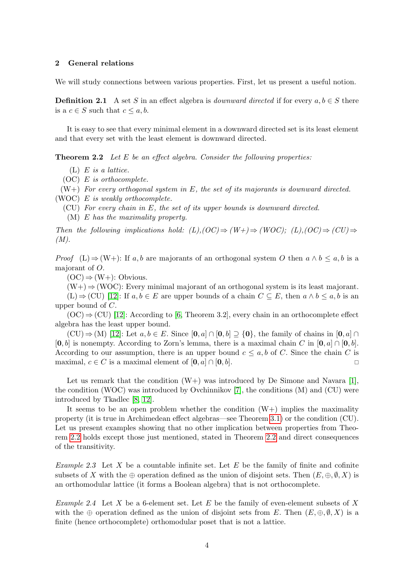## 2 General relations

We will study connections between various properties. First, let us present a useful notion.

**Definition 2.1** A set S in an effect algebra is *downward directed* if for every  $a, b \in S$  there is a  $c \in S$  such that  $c \leq a, b$ .

It is easy to see that every minimal element in a downward directed set is its least element and that every set with the least element is downward directed.

<span id="page-3-0"></span>**Theorem 2.2** Let E be an effect algebra. Consider the following properties:

- $(L)$  E is a lattice.
- (OC) E is orthocomplete.
- $(W+)$  For every orthogonal system in E, the set of its majorants is downward directed.

(WOC) E is weakly orthocomplete.

(CU) For every chain in E, the set of its upper bounds is downward directed.

(M) E has the maximality property.

Then the following implications hold:  $(L),(OC) \Rightarrow (W+) \Rightarrow (WOC); (L),(OC) \Rightarrow (CU) \Rightarrow$  $(M).$ 

*Proof* (L)  $\Rightarrow$  (W+): If a, b are majorants of an orthogonal system O then  $a \wedge b \leq a$ , b is a majorant of O.

 $(OC) \Rightarrow (W+)$ : Obvious.

 $(W+) \Rightarrow (WOC)$ : Every minimal majorant of an orthogonal system is its least majorant.

 $(L) \Rightarrow (CU)$  [\[12\]](#page-7-3): If  $a, b \in E$  are upper bounds of a chain  $C \subseteq E$ , then  $a \wedge b \leq a, b$  is an upper bound of C.

 $(OC) \Rightarrow (CU)$  [\[12\]](#page-7-3): According to [\[6,](#page-6-6) Theorem 3.2], every chain in an orthocomplete effect algebra has the least upper bound.

 $(CU) \Rightarrow (M)$  [\[12\]](#page-7-3): Let  $a, b \in E$ . Since  $[0, a] \cap [0, b] \supseteq \{0\}$ , the family of chains in  $[0, a] \cap$  $[0, b]$  is nonempty. According to Zorn's lemma, there is a maximal chain C in  $[0, a] \cap [0, b]$ . According to our assumption, there is an upper bound  $c \leq a, b$  of C. Since the chain C is maximal,  $c \in C$  is a maximal element of  $[\mathbf{0}, a] \cap [\mathbf{0}, b]$ .

Let us remark that the condition  $(W+)$  was introduced by De Simone and Navara [\[1\]](#page-6-1), the condition (WOC) was introduced by Ovchinnikov [\[7\]](#page-6-0), the conditions (M) and (CU) were introduced by Tkadlec [\[8,](#page-6-2) [12\]](#page-7-3).

It seems to be an open problem whether the condition  $(W+)$  implies the maximality property (it is true in Archimedean effect algebras—see Theorem [3.1\)](#page-4-0) or the condition (CU). Let us present examples showing that no other implication between properties from Theorem [2.2](#page-3-0) holds except those just mentioned, stated in Theorem [2.2](#page-3-0) and direct consequences of the transitivity.

Example 2.3 Let X be a countable infinite set. Let  $E$  be the family of finite and cofinite subsets of X with the  $\oplus$  operation defined as the union of disjoint sets. Then  $(E, \oplus, \emptyset, X)$  is an orthomodular lattice (it forms a Boolean algebra) that is not orthocomplete.

<span id="page-3-1"></span>*Example 2.4* Let X be a 6-element set. Let E be the family of even-element subsets of X with the  $\oplus$  operation defined as the union of disjoint sets from E. Then  $(E, \oplus, \emptyset, X)$  is a finite (hence orthocomplete) orthomodular poset that is not a lattice.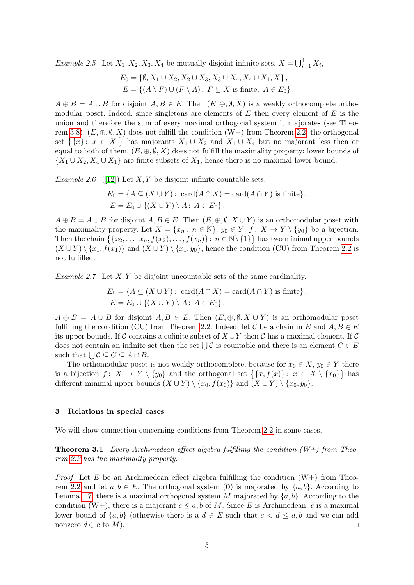*Example 2.5* Let  $X_1, X_2, X_3, X_4$  be mutually disjoint infinite sets,  $X = \bigcup_{i=1}^4 X_i$ ,

$$
E_0 = \{ \emptyset, X_1 \cup X_2, X_2 \cup X_3, X_3 \cup X_4, X_4 \cup X_1, X \},
$$
  

$$
E = \{ (A \setminus F) \cup (F \setminus A) : F \subseteq X \text{ is finite, } A \in E_0 \},
$$

 $A \oplus B = A \cup B$  for disjoint  $A, B \in E$ . Then  $(E, \oplus, \emptyset, X)$  is a weakly orthocomplete orthomodular poset. Indeed, since singletons are elements of  $E$  then every element of  $E$  is the union and therefore the sum of every maximal orthogonal system it majorates (see Theo-rem [3.8\)](#page-6-7).  $(E, \oplus, \emptyset, X)$  does not fulfill the condition  $(W+)$  from Theorem [2.2:](#page-3-0) the orthogonal set  $\{\{x\}: x \in X_1\}$  has majorants  $X_1 \cup X_2$  and  $X_1 \cup X_4$  but no majorant less then or equal to both of them.  $(E, \oplus, \emptyset, X)$  does not fulfill the maximality property: lower bounds of  $\{X_1 \cup X_2, X_4 \cup X_1\}$  are finite subsets of  $X_1$ , hence there is no maximal lower bound.

<span id="page-4-1"></span>Example 2.6 ([\[12\]](#page-7-3)) Let  $X, Y$  be disjoint infinite countable sets,

$$
E_0 = \{ A \subseteq (X \cup Y) : \operatorname{card}(A \cap X) = \operatorname{card}(A \cap Y) \text{ is finite} \},
$$
  

$$
E = E_0 \cup \{ (X \cup Y) \setminus A : A \in E_0 \},
$$

 $A \oplus B = A \cup B$  for disjoint  $A, B \in E$ . Then  $(E, \oplus, \emptyset, X \cup Y)$  is an orthomodular poset with the maximality property. Let  $X = \{x_n : n \in \mathbb{N}\}\$ ,  $y_0 \in Y$ ,  $f : X \to Y \setminus \{y_0\}$  be a bijection. Then the chain  $\{ \{x_2, \ldots, x_n, f(x_2), \ldots, f(x_n)\} : n \in \mathbb{N} \setminus \{1\} \}$  has two minimal upper bounds  $(X \cup Y) \setminus \{x_1, f(x_1)\}\$ and  $(X \cup Y) \setminus \{x_1, y_0\}$ , hence the condition (CU) from Theorem [2.2](#page-3-0) is not fulfilled.

<span id="page-4-2"></span>Example 2.7 Let  $X, Y$  be disjoint uncountable sets of the same cardinality,

$$
E_0 = \{ A \subseteq (X \cup Y) : \operatorname{card}(A \cap X) = \operatorname{card}(A \cap Y) \text{ is finite} \},
$$
  

$$
E = E_0 \cup \{ (X \cup Y) \setminus A : A \in E_0 \},
$$

 $A \oplus B = A \cup B$  for disjoint  $A, B \in E$ . Then  $(E, \oplus, \emptyset, X \cup Y)$  is an orthomodular poset fulfilling the condition (CU) from Theorem [2.2.](#page-3-0) Indeed, let C be a chain in E and  $A, B \in E$ its upper bounds. If C contains a cofinite subset of  $X \cup Y$  then C has a maximal element. If C does not contain an infinite set then the set  $\bigcup \mathcal{C}$  is countable and there is an element  $C \in E$ such that  $\bigcup \mathcal{C} \subseteq C \subseteq A \cap B$ .

The orthomodular poset is not weakly orthocomplete, because for  $x_0 \in X$ ,  $y_0 \in Y$  there is a bijection  $f: X \to Y \setminus \{y_0\}$  and the orthogonal set  $\{\{x, f(x)\}: x \in X \setminus \{x_0\}\}\)$  has different minimal upper bounds  $(X \cup Y) \setminus \{x_0, f(x_0)\}\$ and  $(X \cup Y) \setminus \{x_0, y_0\}.$ 

## 3 Relations in special cases

<span id="page-4-0"></span>We will show connection concerning conditions from Theorem [2.2](#page-3-0) in some cases.

**Theorem 3.1** Every Archimedean effect algebra fulfilling the condition  $(W+)$  from Theorem [2.2](#page-3-0) has the maximality property.

*Proof* Let E be an Archimedean effect algebra fulfilling the condition  $(W+)$  from Theo-rem [2.2](#page-3-0) and let  $a, b \in E$ . The orthogonal system (0) is majorated by  $\{a, b\}$ . According to Lemma [1.7,](#page-2-0) there is a maximal orthogonal system M majorated by  $\{a, b\}$ . According to the condition  $(W+)$ , there is a majorant  $c \leq a, b$  of M. Since E is Archimedean, c is a maximal lower bound of  $\{a, b\}$  (otherwise there is a  $d \in E$  such that  $c < d \leq a, b$  and we can add nonzero  $d \ominus c$  to  $M$ ).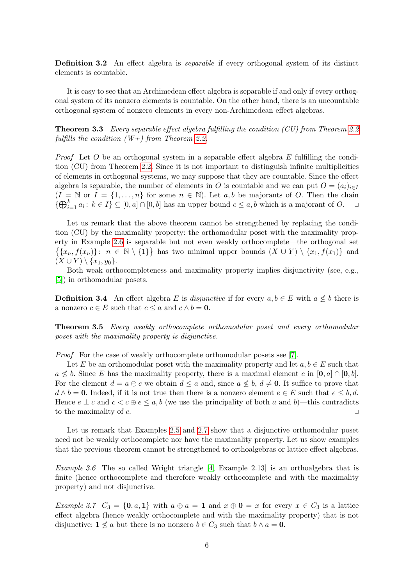**Definition 3.2** An effect algebra is *separable* if every orthogonal system of its distinct elements is countable.

It is easy to see that an Archimedean effect algebra is separable if and only if every orthogonal system of its nonzero elements is countable. On the other hand, there is an uncountable orthogonal system of nonzero elements in every non-Archimedean effect algebras.

**Theorem 3.3** Every separable effect algebra fulfilling the condition (CU) from Theorem [2.2](#page-3-0) fulfills the condition  $(W+)$  from Theorem [2.2.](#page-3-0)

*Proof* Let O be an orthogonal system in a separable effect algebra E fulfilling the condition (CU) from Theorem [2.2.](#page-3-0) Since it is not important to distinguish infinite multiplicities of elements in orthogonal systems, we may suppose that they are countable. Since the effect algebra is separable, the number of elements in O is countable and we can put  $O = (a_i)_{i \in I}$  $(I = N \text{ or } I = \{1, ..., n\}$  for some  $n \in N$ ). Let a, b be majorants of O. Then the chain  $\{\bigoplus_{i=1}^k a_i : k \in I\} \subseteq [0, a] \cap [0, b]$  has an upper bound  $c \leq a, b$  which is a majorant of O.

Let us remark that the above theorem cannot be strengthened by replacing the condition (CU) by the maximality property: the orthomodular poset with the maximality property in Example [2.6](#page-4-1) is separable but not even weakly orthocomplete—the orthogonal set  $\{\{x_n,f(x_n)\}: n \in \mathbb{N} \setminus \{1\}\}\$  has two minimal upper bounds  $(X \cup Y) \setminus \{x_1,f(x_1)\}\$  and  $(X \cup Y) \setminus \{x_1, y_0\}.$ 

Both weak orthocompleteness and maximality property implies disjunctivity (see, e.g., [\[5\]](#page-6-8)) in orthomodular posets.

**Definition 3.4** An effect algebra E is disjunctive if for every  $a, b \in E$  with  $a \not\leq b$  there is a nonzero  $c \in E$  such that  $c \le a$  and  $c \wedge b = 0$ .

Theorem 3.5 Every weakly orthocomplete orthomodular poset and every orthomodular poset with the maximality property is disjunctive.

Proof For the case of weakly orthocomplete orthomodular posets see [\[7\]](#page-6-0).

Let E be an orthomodular poset with the maximality property and let  $a, b \in E$  such that  $a \nleq b$ . Since E has the maximality property, there is a maximal element c in [0, a] ∩ [0, b]. For the element  $d = a \ominus c$  we obtain  $d \le a$  and, since  $a \not\le b$ ,  $d \ne \mathbf{0}$ . It suffice to prove that  $d \wedge b = 0$ . Indeed, if it is not true then there is a nonzero element  $e \in E$  such that  $e \leq b, d$ . Hence  $e \perp c$  and  $c < c \oplus e \leq a, b$  (we use the principality of both a and b)—this contradicts to the maximality of  $c$ .

Let us remark that Examples [2.5](#page-3-1) and [2.7](#page-4-2) show that a disjunctive orthomodular poset need not be weakly orthocomplete nor have the maximality property. Let us show examples that the previous theorem cannot be strengthened to orthoalgebras or lattice effect algebras.

Example 3.6 The so called Wright triangle [\[4,](#page-6-5) Example 2.13] is an orthoalgebra that is finite (hence orthocomplete and therefore weakly orthocomplete and with the maximality property) and not disjunctive.

Example 3.7  $C_3 = \{0, a, 1\}$  with  $a \oplus a = 1$  and  $x \oplus 0 = x$  for every  $x \in C_3$  is a lattice effect algebra (hence weakly orthocomplete and with the maximality property) that is not disjunctive:  $1 \nleq a$  but there is no nonzero  $b \in C_3$  such that  $b \wedge a = 0$ .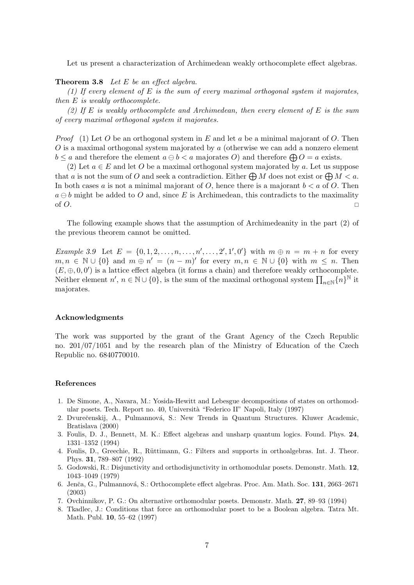Let us present a characterization of Archimedean weakly orthocomplete effect algebras.

## <span id="page-6-7"></span>**Theorem 3.8** Let  $E$  be an effect algebra.

(1) If every element of E is the sum of every maximal orthogonal system it majorates, then E is weakly orthocomplete.

(2) If E is weakly orthocomplete and Archimedean, then every element of E is the sum of every maximal orthogonal system it majorates.

*Proof* (1) Let O be an orthogonal system in E and let a be a minimal majorant of O. Then  $O$  is a maximal orthogonal system majorated by  $a$  (otherwise we can add a nonzero element  $b \le a$  and therefore the element  $a \ominus b < a$  majorates O) and therefore  $\bigoplus O = a$  exists.

(2) Let  $a \in E$  and let O be a maximal orthogonal system majorated by a. Let us suppose that a is not the sum of O and seek a contradiction. Either  $\bigoplus M$  does not exist or  $\bigoplus M < a$ . In both cases a is not a minimal majorant of  $O$ , hence there is a majorant  $b < a$  of  $O$ . Then  $a \ominus b$  might be added to O and, since E is Archimedean, this contradicts to the maximality of  $O$ .

The following example shows that the assumption of Archimedeanity in the part (2) of the previous theorem cannot be omitted.

*Example 3.9* Let  $E = \{0, 1, 2, ..., n, ..., n', ..., 2', 1', 0'\}$  with  $m \oplus n = m + n$  for every  $m, n \in \mathbb{N} \cup \{0\}$  and  $m \oplus n' = (n - m)'$  for every  $m, n \in \mathbb{N} \cup \{0\}$  with  $m \leq n$ . Then  $(E, \oplus, 0, 0')$  is a lattice effect algebra (it forms a chain) and therefore weakly orthocomplete. Neither element  $n', n \in \mathbb{N} \cup \{0\}$ , is the sum of the maximal orthogonal system  $\prod_{n \in \mathbb{N}} \{n\}^{\mathbb{N}}$  it majorates.

#### Acknowledgments

The work was supported by the grant of the Grant Agency of the Czech Republic no. 201/07/1051 and by the research plan of the Ministry of Education of the Czech Republic no. 6840770010.

#### References

- <span id="page-6-1"></span>1. De Simone, A., Navara, M.: Yosida-Hewitt and Lebesgue decompositions of states on orthomodular posets. Tech. Report no. 40, Università "Federico II" Napoli, Italy (1997)
- <span id="page-6-3"></span>2. Dvurečenskij, A., Pulmannová, S.: New Trends in Quantum Structures. Kluwer Academic, Bratislava (2000)
- <span id="page-6-4"></span>3. Foulis, D. J., Bennett, M. K.: Effect algebras and unsharp quantum logics. Found. Phys. 24, 1331–1352 (1994)
- <span id="page-6-5"></span>4. Foulis, D., Greechie, R., Rüttimann, G.: Filters and supports in orthoalgebras. Int. J. Theor. Phys. 31, 789–807 (1992)
- <span id="page-6-8"></span>5. Godowski, R.: Disjunctivity and orthodisjunctivity in orthomodular posets. Demonstr. Math. 12, 1043–1049 (1979)
- <span id="page-6-6"></span>6. Jenča, G., Pulmannová, S.: Orthocomplete effect algebras. Proc. Am. Math. Soc. 131, 2663–2671 (2003)
- <span id="page-6-0"></span>7. Ovchinnikov, P. G.: On alternative orthomodular posets. Demonstr. Math. 27, 89–93 (1994)
- <span id="page-6-2"></span>8. Tkadlec, J.: Conditions that force an orthomodular poset to be a Boolean algebra. Tatra Mt. Math. Publ. 10, 55–62 (1997)